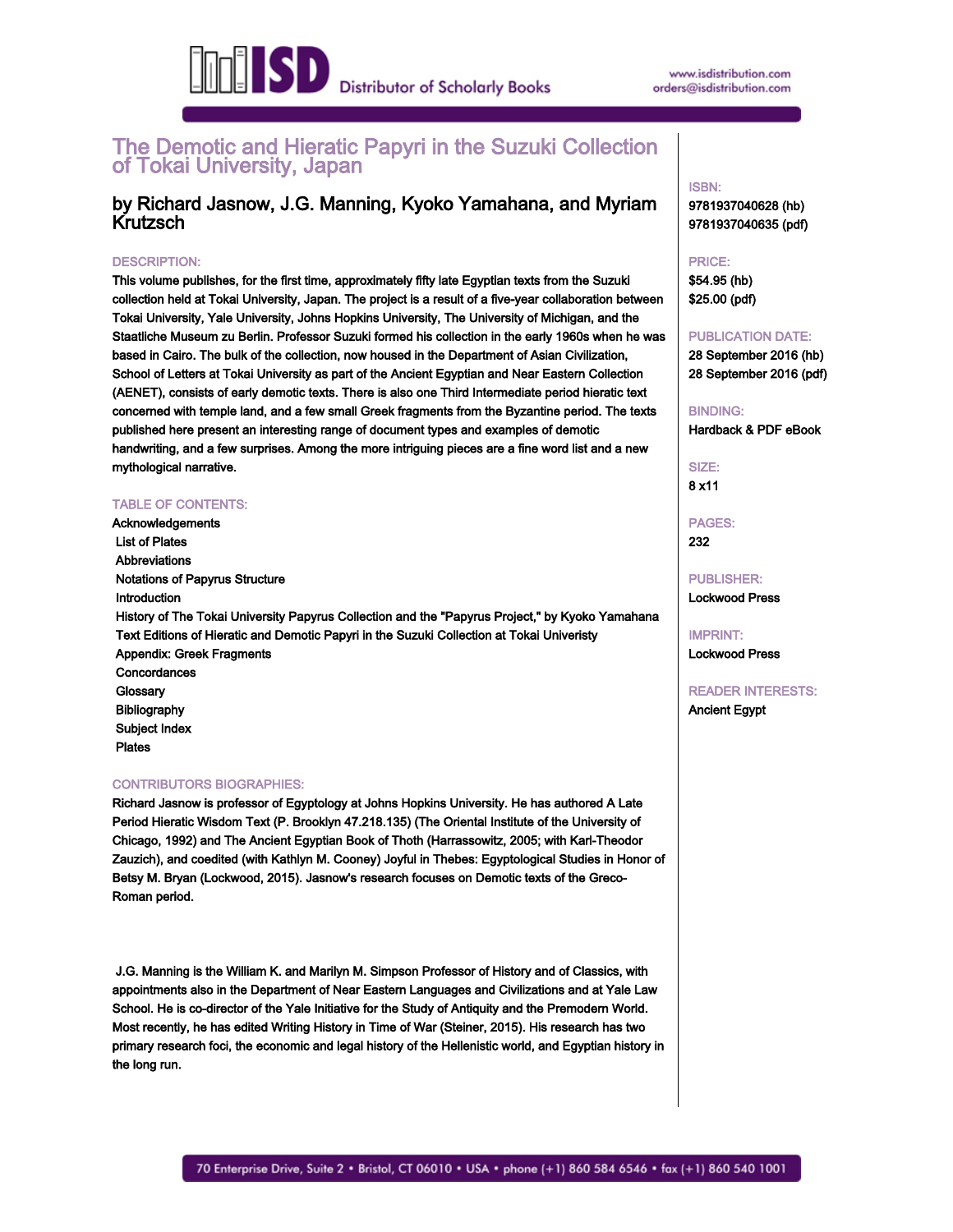

# The Demotic and Hieratic Papyri in the Suzuki Collection of Tokai University, Japan

# by Richard Jasnow, J.G. Manning, Kyoko Yamahana, and Myriam Krutzsch

### DESCRIPTION:

This volume publishes, for the first time, approximately fifty late Egyptian texts from the Suzuki collection held at Tokai University, Japan. The project is a result of a five-year collaboration between Tokai University, Yale University, Johns Hopkins University, The University of Michigan, and the Staatliche Museum zu Berlin. Professor Suzuki formed his collection in the early 1960s when he was based in Cairo. The bulk of the collection, now housed in the Department of Asian Civilization, School of Letters at Tokai University as part of the Ancient Egyptian and Near Eastern Collection (AENET), consists of early demotic texts. There is also one Third Intermediate period hieratic text concerned with temple land, and a few small Greek fragments from the Byzantine period. The texts published here present an interesting range of document types and examples of demotic handwriting, and a few surprises. Among the more intriguing pieces are a fine word list and a new mythological narrative.

#### TABLE OF CONTENTS:

Acknowledgements List of Plates Abbreviations Notations of Papyrus Structure Introduction History of The Tokai University Papyrus Collection and the "Papyrus Project," by Kyoko Yamahana Text Editions of Hieratic and Demotic Papyri in the Suzuki Collection at Tokai Univeristy Appendix: Greek Fragments Concordances **Glossary**  Bibliography Subject Index

Plates

#### CONTRIBUTORS BIOGRAPHIES:

Richard Jasnow is professor of Egyptology at Johns Hopkins University. He has authored A Late Period Hieratic Wisdom Text (P. Brooklyn 47.218.135) (The Oriental Institute of the University of Chicago, 1992) and The Ancient Egyptian Book of Thoth (Harrassowitz, 2005; with Karl-Theodor Zauzich), and coedited (with Kathlyn M. Cooney) Joyful in Thebes: Egyptological Studies in Honor of Betsy M. Bryan (Lockwood, 2015). Jasnow's research focuses on Demotic texts of the Greco-Roman period.

 J.G. Manning is the William K. and Marilyn M. Simpson Professor of History and of Classics, with appointments also in the Department of Near Eastern Languages and Civilizations and at Yale Law School. He is co-director of the Yale Initiative for the Study of Antiquity and the Premodern World. Most recently, he has edited Writing History in Time of War (Steiner, 2015). His research has two primary research foci, the economic and legal history of the Hellenistic world, and Egyptian history in the long run.

### ISBN: 9781937040628 (hb)

9781937040635 (pdf)

PRICE: \$54.95 (hb) \$25.00 (pdf)

# PUBLICATION DATE:

28 September 2016 (hb) 28 September 2016 (pdf)

# BINDING: Hardback & PDF eBook

SIZE: 8 x11

PAGES: 232

PUBLISHER: Lockwood Press

IMPRINT: Lockwood Press

READER INTERESTS: Ancient Egypt